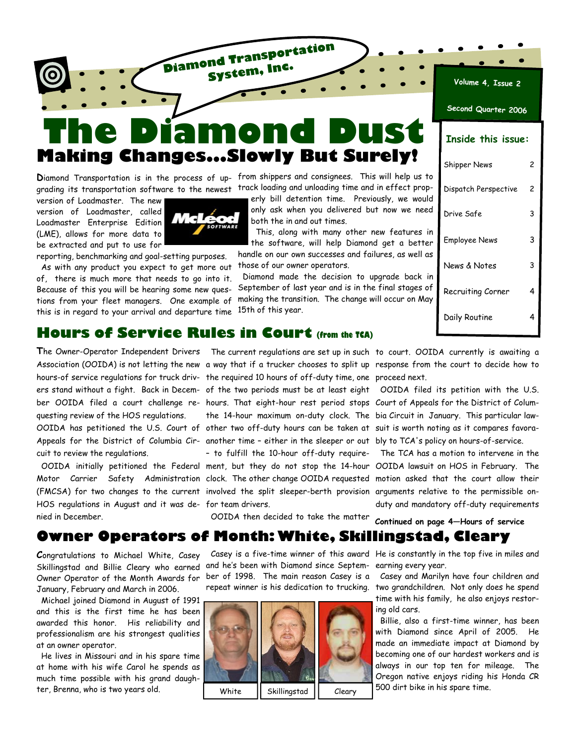# **The Diamond Dust Making Changes...Slowly But Surely!**

**Diamond Transportation System, Inc.**

grading its transportation software to the newest track loading and unloading time and in effect prop-

version of Loadmaster. The new version of Loadmaster, called Loadmaster Enterprise Edition (LME), allows for more data to be extracted and put to use for



reporting, benchmarking and goal-setting purposes.

 As with any product you expect to get more out of, there is much more that needs to go into it. Because of this you will be hearing some new questions from your fleet managers. One example of this is in regard to your arrival and departure time

**D**iamond Transportation is in the process of up-from shippers and consignees. This will help us to

erly bill detention time. Previously, we would only ask when you delivered but now we need both the in and out times.

 This, along with many other new features in the software, will help Diamond get a better handle on our own successes and failures, as well as those of our owner operators.

 Diamond made the decision to upgrade back in September of last year and is in the final stages of making the transition. The change will occur on May 15th of this year.

| Second Quarter 2006       |   |  |  |
|---------------------------|---|--|--|
| <b>Inside this issue:</b> |   |  |  |
| Shipper News              | 2 |  |  |
| Dispatch Perspective      | 2 |  |  |
| Drive Safe                | 3 |  |  |
| Employee News             | 3 |  |  |
| News & Notes              | 3 |  |  |
| Recruiting Corner         | 4 |  |  |
| Daily Routine             | 4 |  |  |

**Volume 4, Issue 2**

### **Hours of Service Rules in Court (from the TCA)**

questing review of the HOS regulations.

cuit to review the regulations.

HOS regulations in August and it was de-for team drivers. nied in December.

hours-of service regulations for truck driv-the required 10 hours of off-duty time, one proceed next. Appeals for the District of Columbia Cir- another time - either in the sleeper or out bly to TCA's policy on hours-of-service.

OOIDA then decided to take the matter

The Owner-Operator Independent Drivers The current regulations are set up in such to court. OOIDA currently is awaiting a Association (OOIDA) is not letting the new a way that if a trucker chooses to split up response from the court to decide how to

ers stand without a fight. Back in Decem-of the two periods must be at least eight OOIDA filed its petition with the U.S. ber OOIDA filed a court challenge re-hours. That eight-hour rest period stops Court of Appeals for the District of Colum-OOIDA has petitioned the U.S. Court of other two off-duty hours can be taken at suit is worth noting as it compares favorathe 14-hour maximum on-duty clock. The bia Circuit in January. This particular law-

 OOIDA initially petitioned the Federal ment, but they do not stop the 14-hour OOIDA lawsuit on HOS in February. The Motor Carrier Safety Administration [clock. The other change OOIDA requested](#page-3-0) motion asked that the court allow their (FMCSA) for two changes to the current involved the split sleeper-berth provision arguments relative to the permissible on-– to fulfill the 10-hour off-duty require- The TCA has a motion to intervene in the duty and mandatory off-duty requirements

**Continued on page 4—Hours of service** 

# **Owner Operators of Month: White, Skillingstad, Cleary**

**C**ongratulations to Michael White, Casey Skillingstad and Billie Cleary who earned Owner Operator of the Month Awards for January, February and March in 2006.

 Michael joined Diamond in August of 1991 and this is the first time he has been awarded this honor. His reliability and professionalism are his strongest qualities at an owner operator.

 He lives in Missouri and in his spare time at home with his wife Carol he spends as much time possible with his grand daughter, Brenna, who is two years old.

and he's been with Diamond since September of 1998. The main reason Casey is a repeat winner is his dedication to trucking.



 Casey is a five-time winner of this award He is constantly in the top five in miles and earning every year.

> Casey and Marilyn have four children and two grandchildren. Not only does he spend time with his family, he also enjoys restoring old cars.

 Billie, also a first-time winner, has been with Diamond since April of 2005. He made an immediate impact at Diamond by becoming one of our hardest workers and is always in our top ten for mileage. The Oregon native enjoys riding his Honda CR  $\overline{\text{White}}$   $\overline{\text{Skillingstad}}$   $\overline{\text{Cleary}}$  500 dirt bike in his spare time.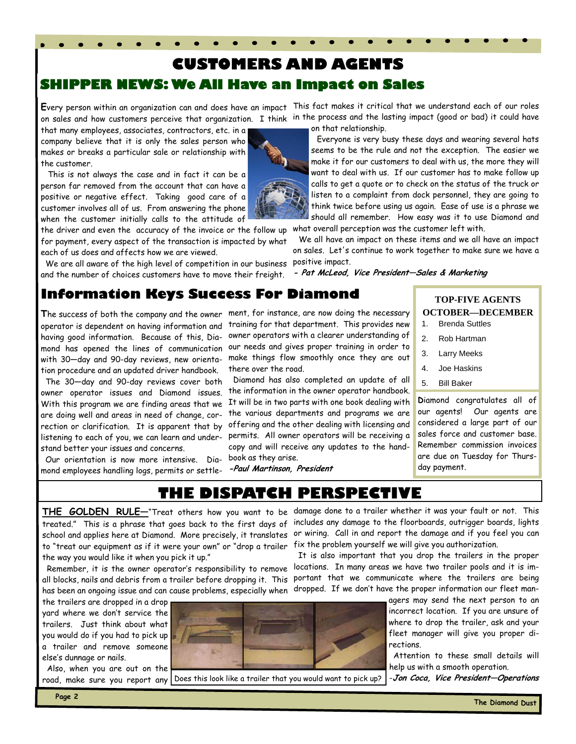# **SHIPPER NEWS: We All Have an Impact on Sales CUSTOMERS AND AGENTS**

that many employees, associates, contractors, etc. in a company believe that it is only the sales person who makes or breaks a particular sale or relationship with the customer.

 This is not always the case and in fact it can be a person far removed from the account that can have a positive or negative effect. Taking good care of a customer involves all of us. From answering the phone when the customer initially calls to the attitude of

the driver and even the accuracy of the invoice or the follow up for payment, every aspect of the transaction is impacted by what each of us does and affects how we are viewed.

 We are all aware of the high level of competition in our business and the number of choices customers have to move their freight.

**E**very person within an organization can and does have an impact This fact makes it critical that we understand each of our roles on sales and how customers perceive that organization. I think in the process and the lasting impact (good or bad) it could have on that relationship.

 Everyone is very busy these days and wearing several hats seems to be the rule and not the exception. The easier we make it for our customers to deal with us, the more they will want to deal with us. If our customer has to make follow up calls to get a quote or to check on the status of the truck or listen to a complaint from dock personnel, they are going to think twice before using us again. Ease of use is a phrase we should all remember. How easy was it to use Diamond and

what overall perception was the customer left with.

 We all have an impact on these items and we all have an impact on sales. Let's continue to work together to make sure we have a positive impact.

**- Pat McLeod, Vice President—Sales & Marketing**

# **Information Keys Success For Diamond**

having good information. Because of this, Diamond has opened the lines of communication with 30—day and 90-day reviews, new orientation procedure and an updated driver handbook.

 The 30—day and 90-day reviews cover both owner operator issues and Diamond issues. are doing well and areas in need of change, correction or clarification. It is apparent that by listening to each of you, we can learn and understand better your issues and concerns.

 Our orientation is now more intensive. Dia-book as they arise. mond employees handling logs, permits or settle-

**T**he success of both the company and the owner ment, for instance, are now doing the necessary operator is dependent on having information and training for that department. This provides new owner operators with a clearer understanding of our needs and gives proper training in order to make things flow smoothly once they are out there over the road.

With this program we are finding areas that we It will be in two parts with one book dealing with Diamond has also completed an update of all the information in the owner operator handbook. the various departments and programs we are offering and the other dealing with licensing and permits. All owner operators will be receiving a copy and will receive any updates to the hand-

**-Paul Martinson, President** 

#### **TOP-FIVE AGENTS OCTOBER—DECEMBER**

- 1. Brenda Suttles
- 2. Rob Hartman
- 3. Larry Meeks
- 4. Joe Haskins
- 5. Bill Baker

**D**iamond congratulates all of our agents! Our agents are considered a large part of our sales force and customer base. Remember commission invoices are due on Tuesday for Thursday payment.

**THE DISPATCH PERSPECTIVE** 

to "treat our equipment as if it were your own" or "drop a trailer fix the problem yourself we will give you authorization. the way you would like it when you pick it up."

all blocks, nails and debris from a trailer before dropping it. This portant that we communicate where the trailers are being has been an ongoing issue and can cause problems, especially when dropped. If we don't have the proper information our fleet man-

the trailers are dropped in a drop yard where we don't service the trailers. Just think about what you would do if you had to pick up a trailer and remove someone else's dunnage or nails.

 Also, when you are out on the road, make sure you report any



Does this look like a trailer that you would want to pick up?

**THE GOLDEN RULE—**"Treat others how you want to be damage done to a trailer whether it was your fault or not. This treated." This is a phrase that goes back to the first days of includes any damage to the floorboards, outrigger boards, lights school and applies here at Diamond. More precisely, it translates or wiring. Call in and report the damage and if you feel you can

 Remember, it is the owner operator's responsibility to remove locations. In many areas we have two trailer pools and it is im-It is also important that you drop the trailers in the proper

> agers may send the next person to an incorrect location. If you are unsure of where to drop the trailer, ask and your fleet manager will give you proper directions.

> Attention to these small details will help us with a smooth operation.

-**Jon Coca, Vice President—Operations**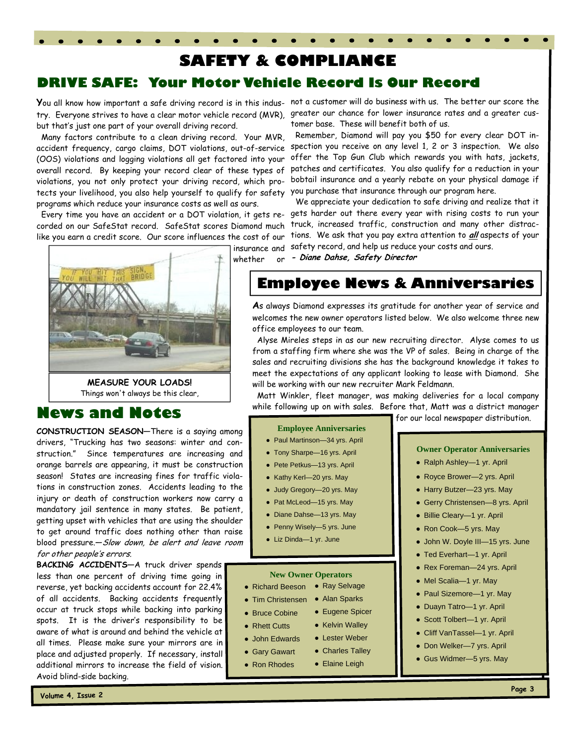# **SAFETY & COMPLIANCE**

# **DRIVE SAFE: Your Motor Vehicle Record Is Our Record**

but that's just one part of your overall driving record.

 Many factors contribute to a clean driving record. Your MVR, (OOS) violations and logging violations all get factored into your overall record. By keeping your record clear of these types of violations, you not only protect your driving record, which protects your livelihood, you also help yourself to qualify for safety you purchase that insurance through our program here. programs which reduce your insurance costs as well as ours.

 Every time you have an accident or a DOT violation, it gets relike you earn a credit score. Our score influences the cost of our

whether or

# Things won't always be this clear,

# **News and Notes**

**CONSTRUCTION SEASON—**There is a saying among drivers, "Trucking has two seasons: winter and construction." Since temperatures are increasing and orange barrels are appearing, it must be construction season! States are increasing fines for traffic violations in construction zones. Accidents leading to the injury or death of construction workers now carry a mandatory jail sentence in many states. Be patient, getting upset with vehicles that are using the shoulder to get around traffic does nothing other than raise blood pressure.- Slow down, be alert and leave room for other people's errors.

**BACKING ACCIDENTS—**A truck driver spends less than one percent of driving time going in reverse, yet backing accidents account for 22.4% of all accidents. Backing accidents frequently occur at truck stops while backing into parking spots. It is the driver's responsibility to be aware of what is around and behind the vehicle at all times. Please make sure your mirrors are in place and adjusted properly. If necessary, install additional mirrors to increase the field of vision. Avoid blind-side backing.

**Y**ou all know how important a safe driving record is in this indus- not a customer will do business with us. The better our score the try. Everyone strives to have a clear motor vehicle record (MVR), greater our chance for lower insurance rates and a greater customer base. These will benefit both of us.

accident frequency, cargo claims, DOT violations, out-of-service spection you receive on any level 1, 2 or 3 inspection. We also Remember, Diamond will pay you \$50 for every clear DOT inoffer the Top Gun Club which rewards you with hats, jackets, patches and certificates. You also qualify for a reduction in your bobtail insurance and a yearly rebate on your physical damage if

corded on our SafeStat record. SafeStat scores Diamond much truck, increased traffic, construction and many other distracinsurance and safety record, and help us reduce your costs and ours. We appreciate your dedication to safe driving and realize that it gets harder out there every year with rising costs to run your tions. We ask that you pay extra attention to **all** aspects of your **- Diane Dahse, Safety Director**

**Employee News & Anniversaries** 

**A**s always Diamond expresses its gratitude for another year of service and welcomes the new owner operators listed below. We also welcome three new office employees to our team.

 Alyse Mireles steps in as our new recruiting director. Alyse comes to us from a staffing firm where she was the VP of sales. Being in charge of the sales and recruiting divisions she has the background knowledge it takes to meet the expectations of any applicant looking to lease with Diamond. She will be working with our new recruiter Mark Feldmann.

 Matt Winkler, fleet manager, was making deliveries for a local company while following up on with sales. Before that, Matt was a district manager for our local newspaper distribution.

#### **Employee Anniversaries**

- Paul Martinson—34 yrs. April
- Tony Sharpe—16 yrs. April
- Pete Petkus—13 yrs. April
- Kathy Kerl-20 yrs. May
- Judy Gregory—20 yrs. May
- Pat McLeod-15 yrs. May
- 
- Liz Dinda—1 yr. June

#### **New Owner Operators**

● Kelvin Walley ● Lester Weber • Charles Talley ● Elaine Leigh

- Richard Beeson Ray Selvage
- Tim Christensen Alan Sparks
- Bruce Cobine • Eugene Spicer
- Rhett Cutts
- John Edwards
- Gary Gawart
- Ron Rhodes

#### **Owner Operator Anniversaries**

- Ralph Ashley—1 yr. April
- Royce Brower-2 yrs. April
- Harry Butzer—23 yrs. May
- Gerry Christensen-8 yrs. April
- Billie Cleary—1 yr. April
- Ron Cook-5 yrs. May
- John W. Doyle III—15 yrs. June
- Ted Everhart—1 yr. April
- Rex Foreman—24 yrs. April
- Mel Scalia-1 yr. May
- Paul Sizemore-1 yr. May
- Duayn Tatro—1 yr. April
- Scott Tolbert—1 yr. April
- Cliff VanTassel—1 yr. April
- Don Welker-7 yrs. April
- Gus Widmer-5 yrs. May

arion, **MEASURE YOUR LOADS!** 

● Diane Dahse—13 yrs. May

● Penny Wisely—5 yrs. June